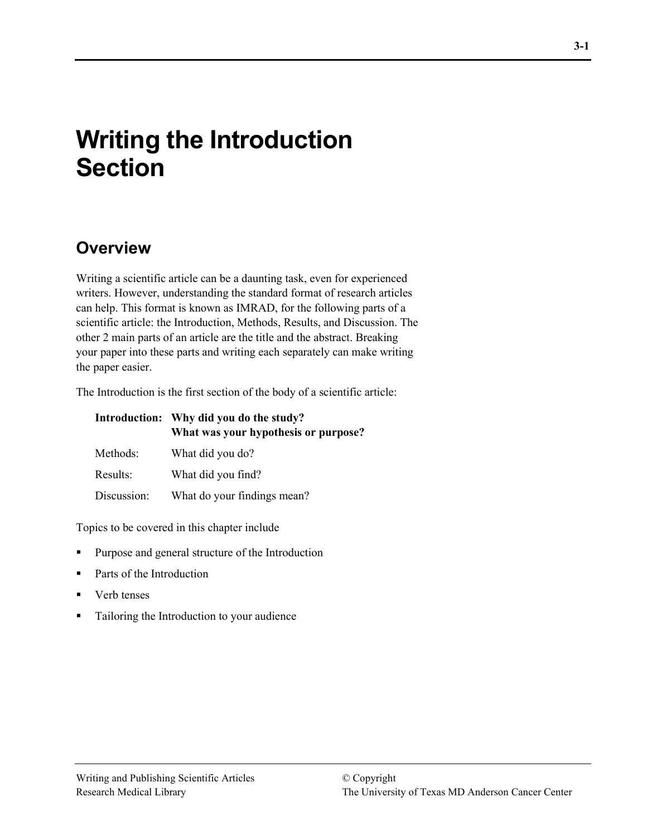# **Writing the Introduction Section**

## **Overview**

Writing a scientific article can be a daunting task, even for experienced writers. However, understanding the standard format of research articles can help. This format is known as IMRAD, for the following parts of a scientific article: the Introduction, Methods, Results, and Discussion. The other 2 main parts of an article are the title and the abstract. Breaking your paper into these parts and writing each separately can make writing the paper easier.

The Introduction is the first section of the body of a scientific article:

|             | Introduction: Why did you do the study?<br>What was your hypothesis or purpose? |
|-------------|---------------------------------------------------------------------------------|
| Methods:    | What did you do?                                                                |
| Results:    | What did you find?                                                              |
| Discussion: | What do your findings mean?                                                     |

Topics to be covered in this chapter include

- Purpose and general structure of the Introduction
- Parts of the Introduction
- Verb tenses
- Tailoring the Introduction to your audience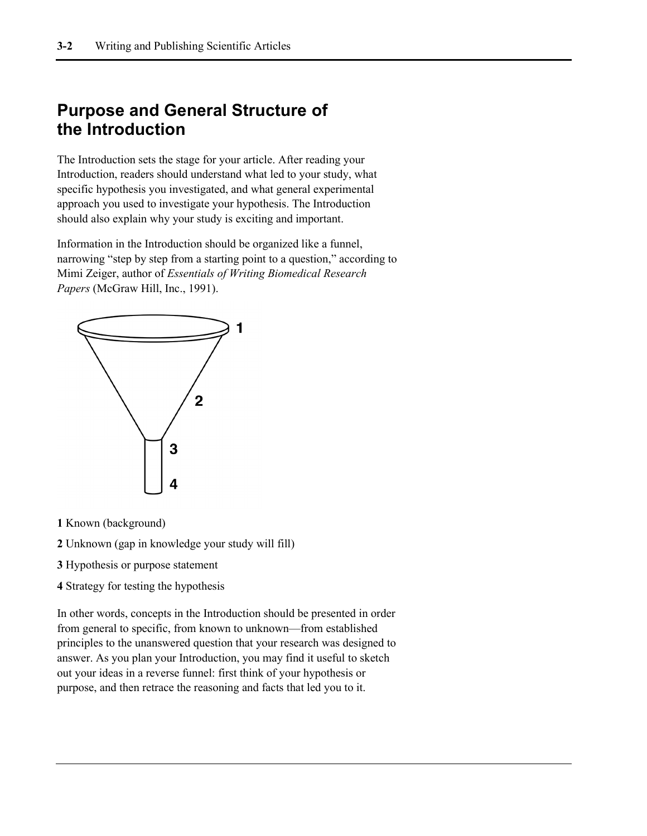## **Purpose and General Structure of the Introduction**

The Introduction sets the stage for your article. After reading your Introduction, readers should understand what led to your study, what specific hypothesis you investigated, and what general experimental approach you used to investigate your hypothesis. The Introduction should also explain why your study is exciting and important.

Information in the Introduction should be organized like a funnel, narrowing "step by step from a starting point to a question," according to Mimi Zeiger, author of *Essentials of Writing Biomedical Research Papers* (McGraw Hill, Inc., 1991).



- **1** Known (background)
- **2** Unknown (gap in knowledge your study will fill)
- **3** Hypothesis or purpose statement
- **4** Strategy for testing the hypothesis

In other words, concepts in the Introduction should be presented in order from general to specific, from known to unknown—from established principles to the unanswered question that your research was designed to answer. As you plan your Introduction, you may find it useful to sketch out your ideas in a reverse funnel: first think of your hypothesis or purpose, and then retrace the reasoning and facts that led you to it.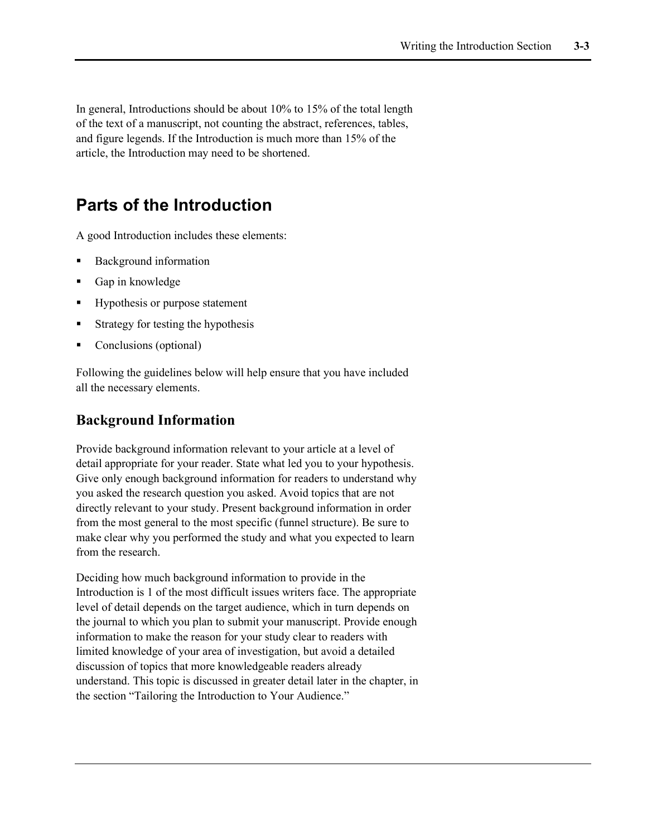In general, Introductions should be about 10% to 15% of the total length of the text of a manuscript, not counting the abstract, references, tables, and figure legends. If the Introduction is much more than 15% of the article, the Introduction may need to be shortened.

## **Parts of the Introduction**

A good Introduction includes these elements:

- Background information
- Gap in knowledge
- Hypothesis or purpose statement
- Strategy for testing the hypothesis
- Conclusions (optional)

Following the guidelines below will help ensure that you have included all the necessary elements.

### **Background Information**

Provide background information relevant to your article at a level of detail appropriate for your reader. State what led you to your hypothesis. Give only enough background information for readers to understand why you asked the research question you asked. Avoid topics that are not directly relevant to your study. Present background information in order from the most general to the most specific (funnel structure). Be sure to make clear why you performed the study and what you expected to learn from the research.

Deciding how much background information to provide in the Introduction is 1 of the most difficult issues writers face. The appropriate level of detail depends on the target audience, which in turn depends on the journal to which you plan to submit your manuscript. Provide enough information to make the reason for your study clear to readers with limited knowledge of your area of investigation, but avoid a detailed discussion of topics that more knowledgeable readers already understand. This topic is discussed in greater detail later in the chapter, in the section "Tailoring the Introduction to Your Audience."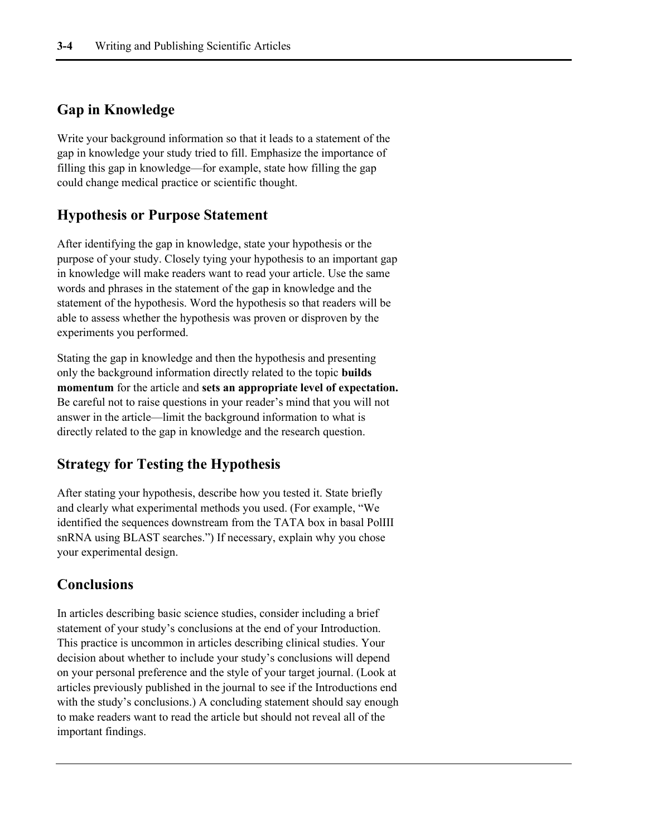### **Gap in Knowledge**

Write your background information so that it leads to a statement of the gap in knowledge your study tried to fill. Emphasize the importance of filling this gap in knowledge—for example, state how filling the gap could change medical practice or scientific thought.

### **Hypothesis or Purpose Statement**

After identifying the gap in knowledge, state your hypothesis or the purpose of your study. Closely tying your hypothesis to an important gap in knowledge will make readers want to read your article. Use the same words and phrases in the statement of the gap in knowledge and the statement of the hypothesis. Word the hypothesis so that readers will be able to assess whether the hypothesis was proven or disproven by the experiments you performed.

Stating the gap in knowledge and then the hypothesis and presenting only the background information directly related to the topic **builds momentum** for the article and **sets an appropriate level of expectation.** Be careful not to raise questions in your reader's mind that you will not answer in the article—limit the background information to what is directly related to the gap in knowledge and the research question.

### **Strategy for Testing the Hypothesis**

After stating your hypothesis, describe how you tested it. State briefly and clearly what experimental methods you used. (For example, "We identified the sequences downstream from the TATA box in basal PolIII snRNA using BLAST searches.") If necessary, explain why you chose your experimental design.

### **Conclusions**

In articles describing basic science studies, consider including a brief statement of your study's conclusions at the end of your Introduction. This practice is uncommon in articles describing clinical studies. Your decision about whether to include your study's conclusions will depend on your personal preference and the style of your target journal. (Look at articles previously published in the journal to see if the Introductions end with the study's conclusions.) A concluding statement should say enough to make readers want to read the article but should not reveal all of the important findings.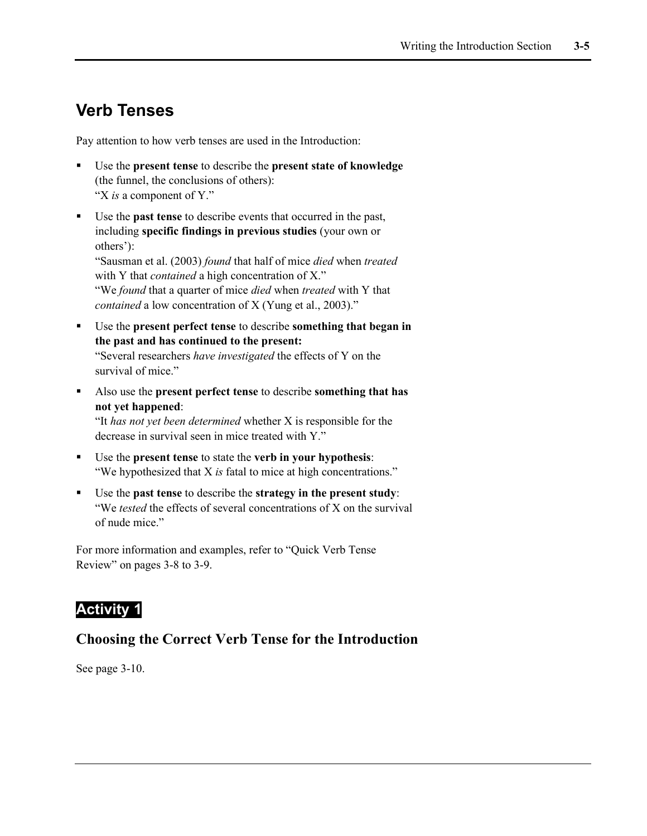## **Verb Tenses**

Pay attention to how verb tenses are used in the Introduction:

- Use the **present tense** to describe the **present state of knowledge** (the funnel, the conclusions of others): "X *is* a component of Y."
- Use the **past tense** to describe events that occurred in the past, including **specific findings in previous studies** (your own or others'): "Sausman et al. (2003) *found* that half of mice *died* when *treated* with Y that *contained* a high concentration of X." "We *found* that a quarter of mice *died* when *treated* with Y that

*contained* a low concentration of X (Yung et al., 2003)."

- Use the **present perfect tense** to describe **something that began in the past and has continued to the present:** "Several researchers *have investigated* the effects of Y on the survival of mice."
- Also use the **present perfect tense** to describe **something that has not yet happened**:

"It *has not yet been determined* whether X is responsible for the decrease in survival seen in mice treated with Y."

- Use the **present tense** to state the **verb in your hypothesis**: "We hypothesized that X *is* fatal to mice at high concentrations."
- Use the **past tense** to describe the **strategy in the present study**: "We *tested* the effects of several concentrations of X on the survival of nude mice."

For more information and examples, refer to "Quick Verb Tense Review" on pages 3-8 to 3-9.

### **Activity 1**

### **Choosing the Correct Verb Tense for the Introduction**

See page 3-10.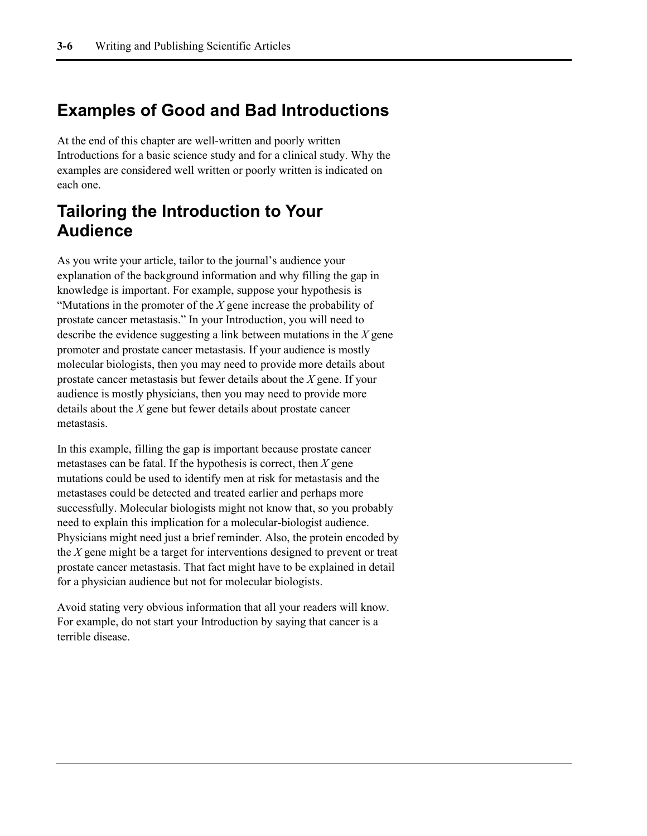## **Examples of Good and Bad Introductions**

At the end of this chapter are well-written and poorly written Introductions for a basic science study and for a clinical study. Why the examples are considered well written or poorly written is indicated on each one.

## **Tailoring the Introduction to Your Audience**

As you write your article, tailor to the journal's audience your explanation of the background information and why filling the gap in knowledge is important. For example, suppose your hypothesis is "Mutations in the promoter of the *X* gene increase the probability of prostate cancer metastasis." In your Introduction, you will need to describe the evidence suggesting a link between mutations in the *X* gene promoter and prostate cancer metastasis. If your audience is mostly molecular biologists, then you may need to provide more details about prostate cancer metastasis but fewer details about the *X* gene. If your audience is mostly physicians, then you may need to provide more details about the *X* gene but fewer details about prostate cancer metastasis.

In this example, filling the gap is important because prostate cancer metastases can be fatal. If the hypothesis is correct, then *X* gene mutations could be used to identify men at risk for metastasis and the metastases could be detected and treated earlier and perhaps more successfully. Molecular biologists might not know that, so you probably need to explain this implication for a molecular-biologist audience. Physicians might need just a brief reminder. Also, the protein encoded by the *X* gene might be a target for interventions designed to prevent or treat prostate cancer metastasis. That fact might have to be explained in detail for a physician audience but not for molecular biologists.

Avoid stating very obvious information that all your readers will know. For example, do not start your Introduction by saying that cancer is a terrible disease.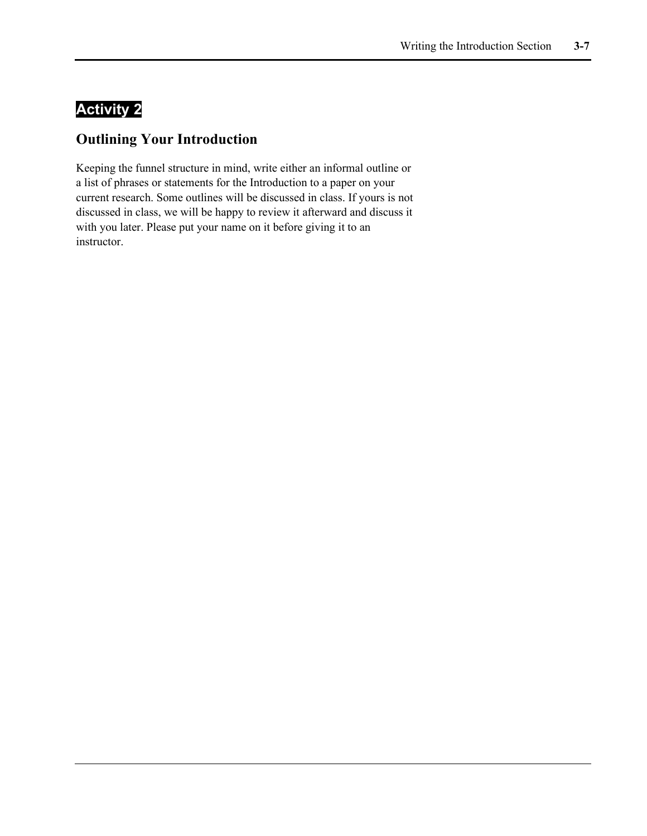## **Activity 2**

### **Outlining Your Introduction**

Keeping the funnel structure in mind, write either an informal outline or a list of phrases or statements for the Introduction to a paper on your current research. Some outlines will be discussed in class. If yours is not discussed in class, we will be happy to review it afterward and discuss it with you later. Please put your name on it before giving it to an instructor.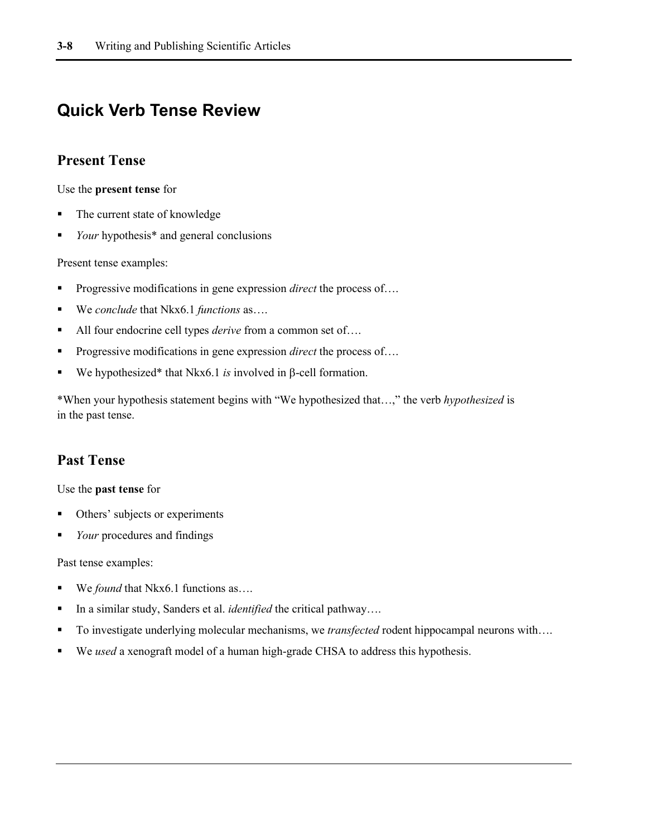## **Quick Verb Tense Review**

### **Present Tense**

Use the **present tense** for

- The current state of knowledge
- *Your* hypothesis<sup>\*</sup> and general conclusions

Present tense examples:

- **Progressive modifications in gene expression** *direct* the process of....
- We *conclude* that Nkx6.1 *functions* as….
- All four endocrine cell types *derive* from a common set of....
- Progressive modifications in gene expression *direct* the process of….
- We hypothesized\* that Nkx6.1 *is* involved in β-cell formation.

\*When your hypothesis statement begins with "We hypothesized that…," the verb *hypothesized* is in the past tense.

### **Past Tense**

Use the **past tense** for

- Others' subjects or experiments
- *Your* procedures and findings

Past tense examples:

- We *found* that Nkx6.1 functions as....
- In a similar study, Sanders et al. *identified* the critical pathway....
- To investigate underlying molecular mechanisms, we *transfected* rodent hippocampal neurons with….
- We *used* a xenograft model of a human high-grade CHSA to address this hypothesis.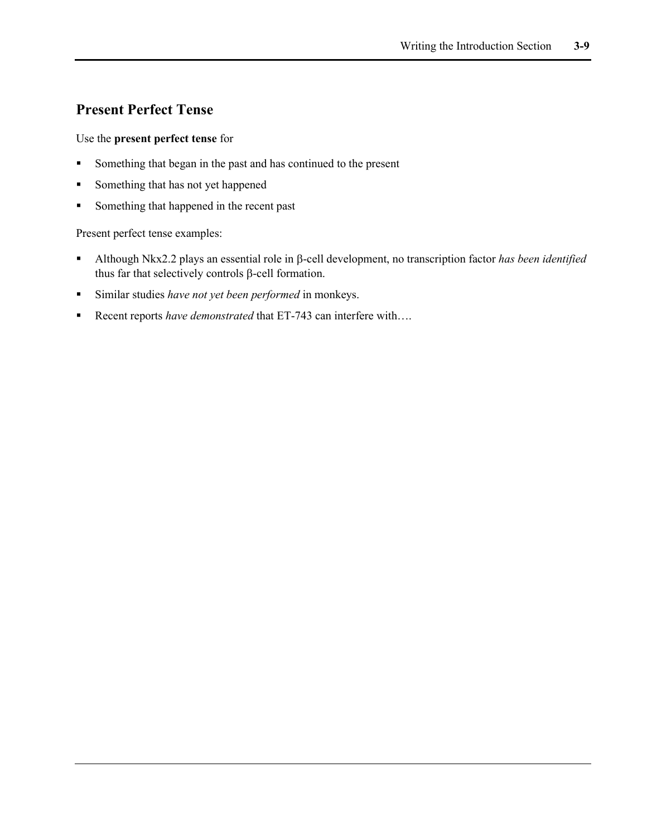### **Present Perfect Tense**

#### Use the **present perfect tense** for

- Something that began in the past and has continued to the present
- Something that has not yet happened
- Something that happened in the recent past

Present perfect tense examples:

- Although Nkx2.2 plays an essential role in β-cell development, no transcription factor *has been identified* thus far that selectively controls β-cell formation.
- Similar studies *have not yet been performed* in monkeys.
- Recent reports *have demonstrated* that ET-743 can interfere with....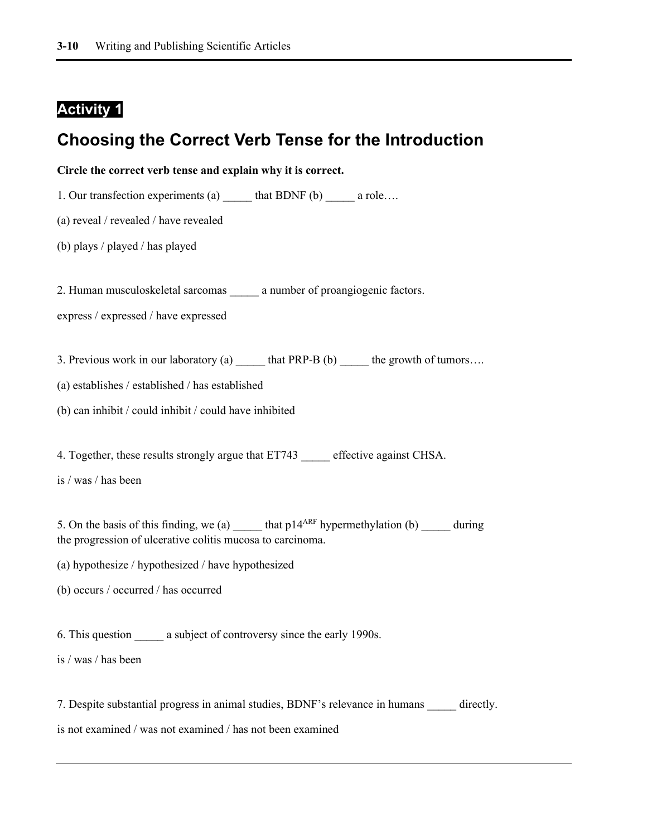### **Activity 1**

### **Choosing the Correct Verb Tense for the Introduction**



7. Despite substantial progress in animal studies, BDNF's relevance in humans directly.

is not examined / was not examined / has not been examined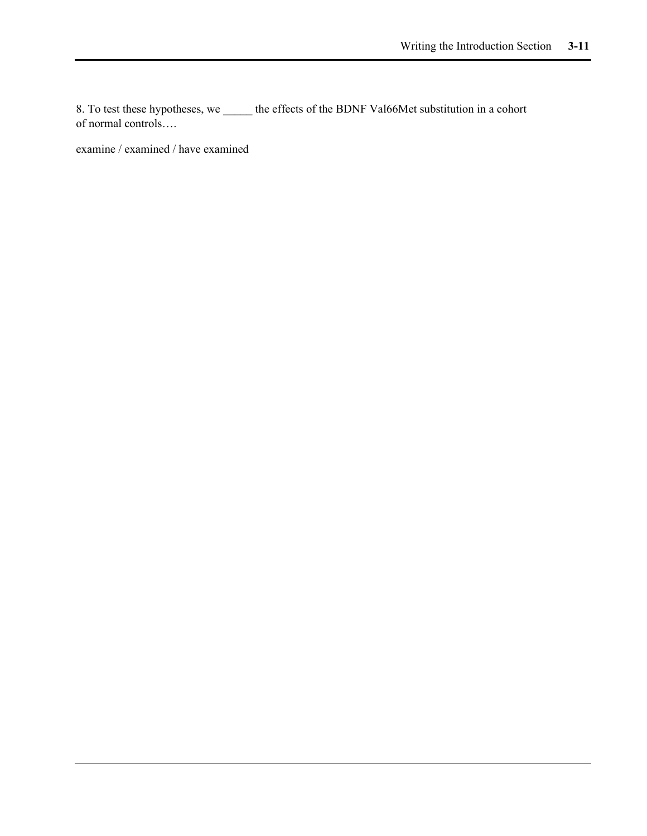8. To test these hypotheses, we \_\_\_\_\_ the effects of the BDNF Val66Met substitution in a cohort of normal controls….

examine / examined / have examined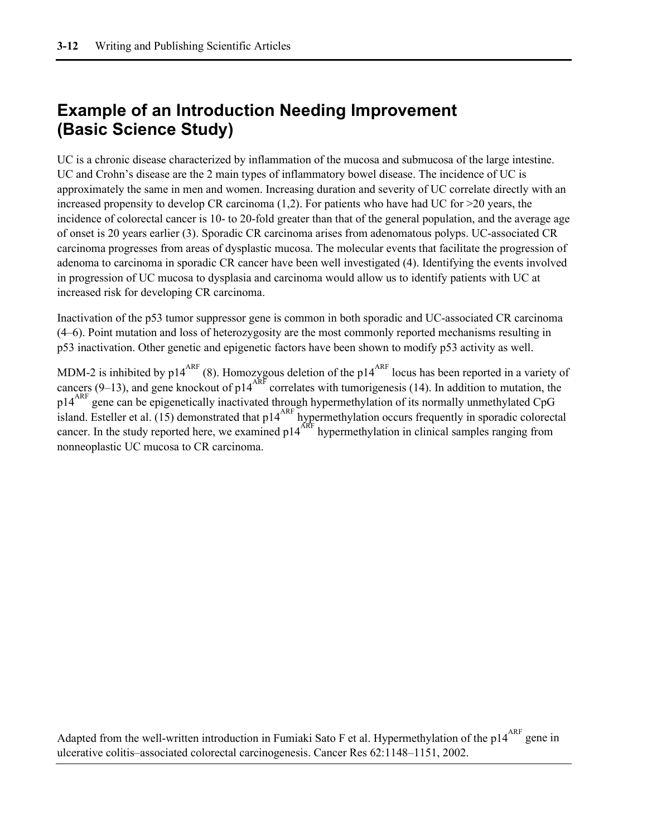## **Example of an Introduction Needing Improvement (Basic Science Study)**

UC is a chronic disease characterized by inflammation of the mucosa and submucosa of the large intestine. UC and Crohn's disease are the 2 main types of inflammatory bowel disease. The incidence of UC is approximately the same in men and women. Increasing duration and severity of UC correlate directly with an increased propensity to develop CR carcinoma  $(1,2)$ . For patients who have had UC for  $>20$  years, the incidence of colorectal cancer is 10- to 20-fold greater than that of the general population, and the average age of onset is 20 years earlier (3). Sporadic CR carcinoma arises from adenomatous polyps. UC-associated CR carcinoma progresses from areas of dysplastic mucosa. The molecular events that facilitate the progression of adenoma to carcinoma in sporadic CR cancer have been well investigated (4). Identifying the events involved in progression of UC mucosa to dysplasia and carcinoma would allow us to identify patients with UC at increased risk for developing CR carcinoma.

Inactivation of the p53 tumor suppressor gene is common in both sporadic and UC-associated CR carcinoma (4–6). Point mutation and loss of heterozygosity are the most commonly reported mechanisms resulting in p53 inactivation. Other genetic and epigenetic factors have been shown to modify p53 activity as well.

MDM-2 is inhibited by p14<sup>ARF</sup> (8). Homozygous deletion of the p14<sup>ARF</sup> locus has been reported in a variety of cancers (9–13), and gene knockout of p14<sup>ARF</sup> correlates with tumorigenesis (14). In addition to mutation, the p14<sup>ARF</sup> gene can be epigenetically inactivated through hypermethylation of its normally unmethylated CpG island. Esteller et al. (15) demonstrated that p14<sup>ARF</sup> hypermethylation occurs frequently in sporadic colorectal cancer. In the study reported here, we examined  $p14<sup>ARF</sup>$  hypermethylation in clinical samples ranging from nonneoplastic UC mucosa to CR carcinoma.

Adapted from the well-written introduction in Fumiaki Sato F et al. Hypermethylation of the p14<sup>ARF</sup> gene in ulcerative colitis–associated colorectal carcinogenesis. Cancer Res 62:1148–1151, 2002.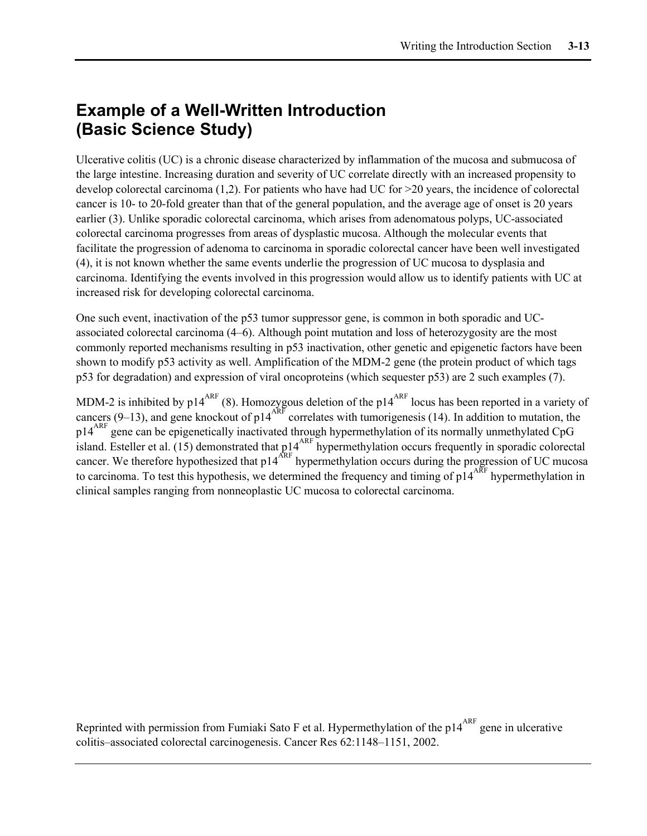## **Example of a Well-Written Introduction (Basic Science Study)**

Ulcerative colitis (UC) is a chronic disease characterized by inflammation of the mucosa and submucosa of the large intestine. Increasing duration and severity of UC correlate directly with an increased propensity to develop colorectal carcinoma (1,2). For patients who have had UC for >20 years, the incidence of colorectal cancer is 10- to 20-fold greater than that of the general population, and the average age of onset is 20 years earlier (3). Unlike sporadic colorectal carcinoma, which arises from adenomatous polyps, UC-associated colorectal carcinoma progresses from areas of dysplastic mucosa. Although the molecular events that facilitate the progression of adenoma to carcinoma in sporadic colorectal cancer have been well investigated (4), it is not known whether the same events underlie the progression of UC mucosa to dysplasia and carcinoma. Identifying the events involved in this progression would allow us to identify patients with UC at increased risk for developing colorectal carcinoma.

One such event, inactivation of the p53 tumor suppressor gene, is common in both sporadic and UCassociated colorectal carcinoma (4–6). Although point mutation and loss of heterozygosity are the most commonly reported mechanisms resulting in p53 inactivation, other genetic and epigenetic factors have been shown to modify p53 activity as well. Amplification of the MDM-2 gene (the protein product of which tags p53 for degradation) and expression of viral oncoproteins (which sequester p53) are 2 such examples (7).

MDM-2 is inhibited by  $p14^{ART}$  (8). Homozygous deletion of the  $p14^{ART}$  locus has been reported in a variety of cancers (9–13), and gene knockout of p14<sup>ARF</sup> correlates with tumorigenesis (14). In addition to mutation, the  $p14$ <sup>ARF</sup> gene can be epigenetically inactivated through hypermethylation of its normally unmethylated CpG island. Esteller et al. (15) demonstrated that  $p14^{ARF}$  hypermethylation occurs frequently in sporadic colorectal cancer. We therefore hypothesized that p14<sup>ARF</sup> hypermethylation occurs during the progression of UC mucosa to carcinoma. To test this hypothesis, we determined the frequency and timing of p14 $\frac{1}{4}$ ARF hypermethylation in clinical samples ranging from nonneoplastic UC mucosa to colorectal carcinoma.

Reprinted with permission from Fumiaki Sato F et al. Hypermethylation of the  $p14^{ARF}$  gene in ulcerative colitis–associated colorectal carcinogenesis. Cancer Res 62:1148–1151, 2002.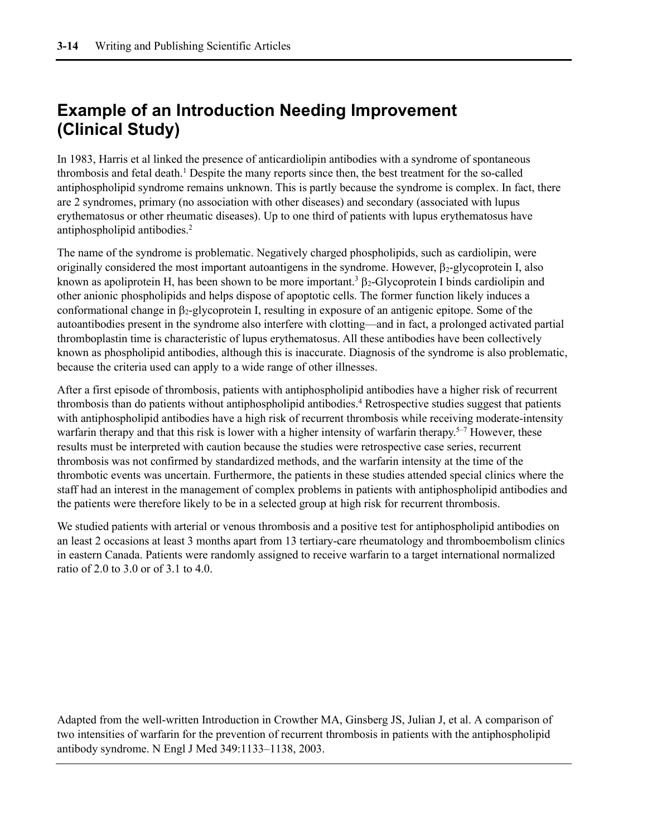## **Example of an Introduction Needing Improvement (Clinical Study)**

In 1983, Harris et al linked the presence of anticardiolipin antibodies with a syndrome of spontaneous thrombosis and fetal death.<sup>1</sup> Despite the many reports since then, the best treatment for the so-called antiphospholipid syndrome remains unknown. This is partly because the syndrome is complex. In fact, there are 2 syndromes, primary (no association with other diseases) and secondary (associated with lupus erythematosus or other rheumatic diseases). Up to one third of patients with lupus erythematosus have antiphospholipid antibodies.2

The name of the syndrome is problematic. Negatively charged phospholipids, such as cardiolipin, were originally considered the most important autoantigens in the syndrome. However,  $\beta_2$ -glycoprotein I, also known as apoliprotein H, has been shown to be more important.<sup>3</sup>  $\beta$ <sub>2</sub>-Glycoprotein I binds cardiolipin and other anionic phospholipids and helps dispose of apoptotic cells. The former function likely induces a conformational change in  $\beta_2$ -glycoprotein I, resulting in exposure of an antigenic epitope. Some of the autoantibodies present in the syndrome also interfere with clotting—and in fact, a prolonged activated partial thromboplastin time is characteristic of lupus erythematosus. All these antibodies have been collectively known as phospholipid antibodies, although this is inaccurate. Diagnosis of the syndrome is also problematic, because the criteria used can apply to a wide range of other illnesses.

After a first episode of thrombosis, patients with antiphospholipid antibodies have a higher risk of recurrent thrombosis than do patients without antiphospholipid antibodies.4 Retrospective studies suggest that patients with antiphospholipid antibodies have a high risk of recurrent thrombosis while receiving moderate-intensity warfarin therapy and that this risk is lower with a higher intensity of warfarin therapy.<sup>5-7</sup> However, these results must be interpreted with caution because the studies were retrospective case series, recurrent thrombosis was not confirmed by standardized methods, and the warfarin intensity at the time of the thrombotic events was uncertain. Furthermore, the patients in these studies attended special clinics where the staff had an interest in the management of complex problems in patients with antiphospholipid antibodies and the patients were therefore likely to be in a selected group at high risk for recurrent thrombosis.

We studied patients with arterial or venous thrombosis and a positive test for antiphospholipid antibodies on an least 2 occasions at least 3 months apart from 13 tertiary-care rheumatology and thromboembolism clinics in eastern Canada. Patients were randomly assigned to receive warfarin to a target international normalized ratio of 2.0 to 3.0 or of 3.1 to 4.0.

Adapted from the well-written Introduction in Crowther MA, Ginsberg JS, Julian J, et al. A comparison of two intensities of warfarin for the prevention of recurrent thrombosis in patients with the antiphospholipid antibody syndrome. N Engl J Med 349:1133–1138, 2003.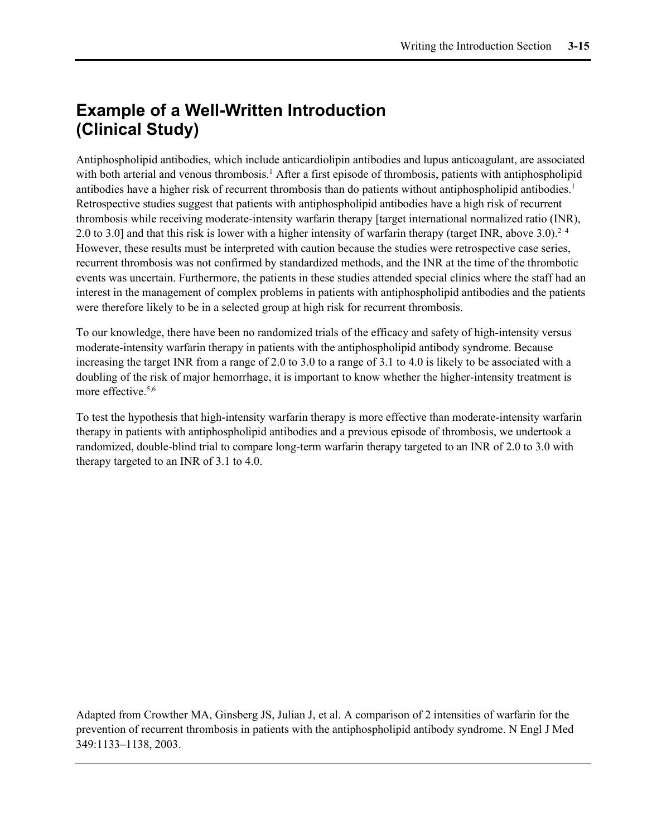## **Example of a Well-Written Introduction (Clinical Study)**

Antiphospholipid antibodies, which include anticardiolipin antibodies and lupus anticoagulant, are associated with both arterial and venous thrombosis.<sup>1</sup> After a first episode of thrombosis, patients with antiphospholipid antibodies have a higher risk of recurrent thrombosis than do patients without antiphospholipid antibodies.1 Retrospective studies suggest that patients with antiphospholipid antibodies have a high risk of recurrent thrombosis while receiving moderate-intensity warfarin therapy [target international normalized ratio (INR), 2.0 to 3.0] and that this risk is lower with a higher intensity of warfarin therapy (target INR, above 3.0).<sup>2–4</sup> However, these results must be interpreted with caution because the studies were retrospective case series, recurrent thrombosis was not confirmed by standardized methods, and the INR at the time of the thrombotic events was uncertain. Furthermore, the patients in these studies attended special clinics where the staff had an interest in the management of complex problems in patients with antiphospholipid antibodies and the patients were therefore likely to be in a selected group at high risk for recurrent thrombosis.

To our knowledge, there have been no randomized trials of the efficacy and safety of high-intensity versus moderate-intensity warfarin therapy in patients with the antiphospholipid antibody syndrome. Because increasing the target INR from a range of 2.0 to 3.0 to a range of 3.1 to 4.0 is likely to be associated with a doubling of the risk of major hemorrhage, it is important to know whether the higher-intensity treatment is more effective.<sup>5,6</sup>

To test the hypothesis that high-intensity warfarin therapy is more effective than moderate-intensity warfarin therapy in patients with antiphospholipid antibodies and a previous episode of thrombosis, we undertook a randomized, double-blind trial to compare long-term warfarin therapy targeted to an INR of 2.0 to 3.0 with therapy targeted to an INR of 3.1 to 4.0.

Adapted from Crowther MA, Ginsberg JS, Julian J, et al. A comparison of 2 intensities of warfarin for the prevention of recurrent thrombosis in patients with the antiphospholipid antibody syndrome. N Engl J Med 349:1133–1138, 2003.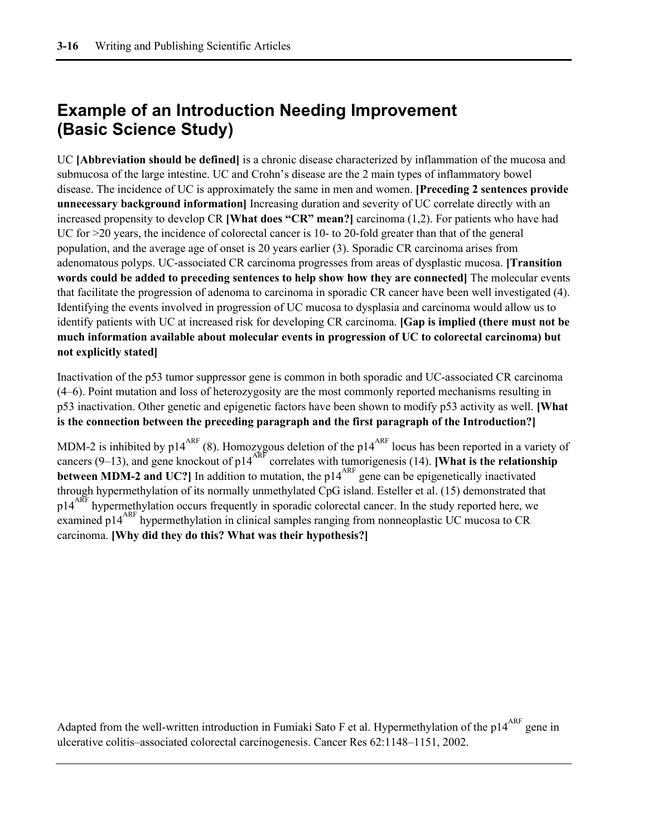## **Example of an Introduction Needing Improvement (Basic Science Study)**

UC **[Abbreviation should be defined]** is a chronic disease characterized by inflammation of the mucosa and submucosa of the large intestine. UC and Crohn's disease are the 2 main types of inflammatory bowel disease. The incidence of UC is approximately the same in men and women. **[Preceding 2 sentences provide unnecessary background information]** Increasing duration and severity of UC correlate directly with an increased propensity to develop CR **[What does "CR" mean?]** carcinoma (1,2). For patients who have had UC for >20 years, the incidence of colorectal cancer is 10- to 20-fold greater than that of the general population, and the average age of onset is 20 years earlier (3). Sporadic CR carcinoma arises from adenomatous polyps. UC-associated CR carcinoma progresses from areas of dysplastic mucosa. **[Transition words could be added to preceding sentences to help show how they are connected]** The molecular events that facilitate the progression of adenoma to carcinoma in sporadic CR cancer have been well investigated (4). Identifying the events involved in progression of UC mucosa to dysplasia and carcinoma would allow us to identify patients with UC at increased risk for developing CR carcinoma. **[Gap is implied (there must not be much information available about molecular events in progression of UC to colorectal carcinoma) but not explicitly stated]**

Inactivation of the p53 tumor suppressor gene is common in both sporadic and UC-associated CR carcinoma (4–6). Point mutation and loss of heterozygosity are the most commonly reported mechanisms resulting in p53 inactivation. Other genetic and epigenetic factors have been shown to modify p53 activity as well. **[What is the connection between the preceding paragraph and the first paragraph of the Introduction?]**

MDM-2 is inhibited by  $p14^{ART}$  (8). Homozygous deletion of the  $p14^{ART}$  locus has been reported in a variety of cancers (9–13), and gene knockout of  $p14^{ARF}$  correlates with tumorigenesis (14). **[What is the relationship between MDM-2 and UC?**] In addition to mutation, the p14<sup>ARF</sup> gene can be epigenetically inactivated through hypermethylation of its normally unmethylated CpG island. Esteller et al. (15) demonstrated that p14<sup>ARF</sup> hypermethylation occurs frequently in sporadic colorectal cancer. In the study reported here, we examined p14<sup>ARF</sup> hypermethylation in clinical samples ranging from nonneoplastic UC mucosa to CR carcinoma. **[Why did they do this? What was their hypothesis?]**

Adapted from the well-written introduction in Fumiaki Sato F et al. Hypermethylation of the p14<sup>ARF</sup> gene in ulcerative colitis–associated colorectal carcinogenesis. Cancer Res 62:1148–1151, 2002.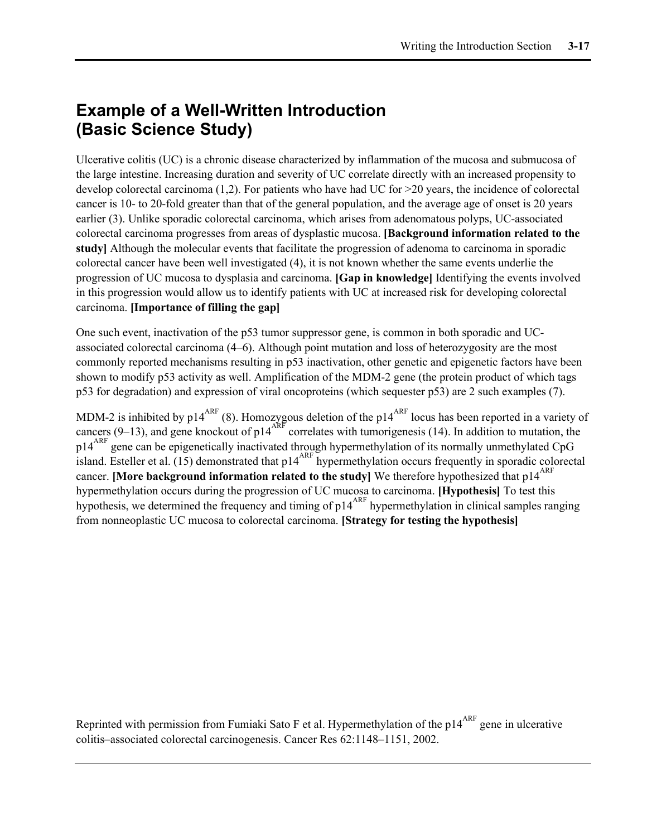## **Example of a Well-Written Introduction (Basic Science Study)**

Ulcerative colitis (UC) is a chronic disease characterized by inflammation of the mucosa and submucosa of the large intestine. Increasing duration and severity of UC correlate directly with an increased propensity to develop colorectal carcinoma (1,2). For patients who have had UC for >20 years, the incidence of colorectal cancer is 10- to 20-fold greater than that of the general population, and the average age of onset is 20 years earlier (3). Unlike sporadic colorectal carcinoma, which arises from adenomatous polyps, UC-associated colorectal carcinoma progresses from areas of dysplastic mucosa. **[Background information related to the study]** Although the molecular events that facilitate the progression of adenoma to carcinoma in sporadic colorectal cancer have been well investigated (4), it is not known whether the same events underlie the progression of UC mucosa to dysplasia and carcinoma. **[Gap in knowledge]** Identifying the events involved in this progression would allow us to identify patients with UC at increased risk for developing colorectal carcinoma. **[Importance of filling the gap]**

One such event, inactivation of the p53 tumor suppressor gene, is common in both sporadic and UCassociated colorectal carcinoma (4–6). Although point mutation and loss of heterozygosity are the most commonly reported mechanisms resulting in p53 inactivation, other genetic and epigenetic factors have been shown to modify p53 activity as well. Amplification of the MDM-2 gene (the protein product of which tags p53 for degradation) and expression of viral oncoproteins (which sequester p53) are 2 such examples (7).

MDM-2 is inhibited by p14<sup>ARF</sup> (8). Homozygous deletion of the p14<sup>ARF</sup> locus has been reported in a variety of cancers (9–13), and gene knockout of p14<sup>ARF</sup> correlates with tumorigenesis (14). In addition to mutation, the p14<sup>ARF</sup> gene can be epigenetically inactivated through hypermethylation of its normally unmethylated CpG island. Esteller et al. (15) demonstrated that p14<sup>ARF</sup> hypermethylation occurs frequently in sporadic colorectal cancer. **[More background information related to the study]** We therefore hypothesized that  $p14^{AKF}$ hypermethylation occurs during the progression of UC mucosa to carcinoma. **[Hypothesis]** To test this hypothesis, we determined the frequency and timing of  $p14^{ART}$  hypermethylation in clinical samples ranging from nonneoplastic UC mucosa to colorectal carcinoma. **[Strategy for testing the hypothesis]**

Reprinted with permission from Fumiaki Sato F et al. Hypermethylation of the  $p14^{ARF}$  gene in ulcerative colitis–associated colorectal carcinogenesis. Cancer Res 62:1148–1151, 2002.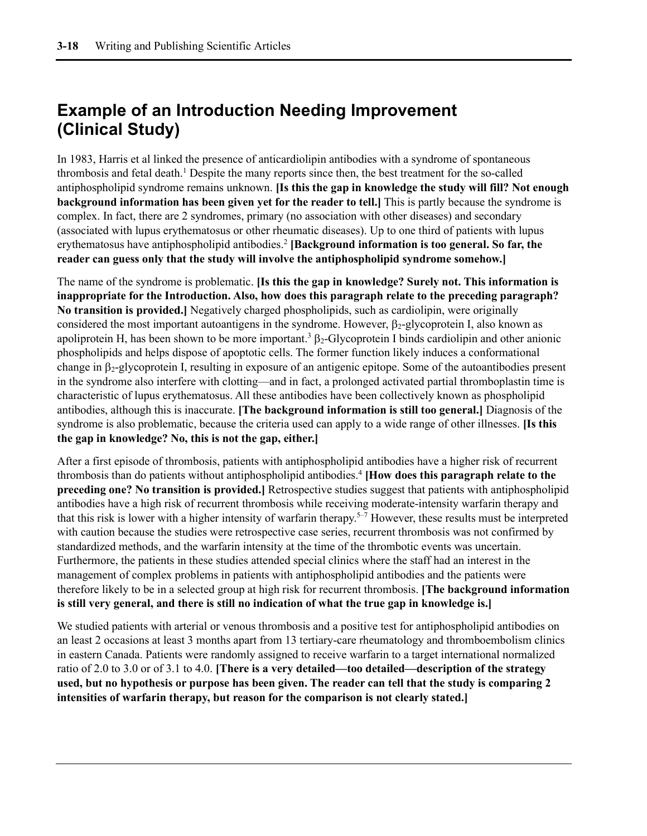## **Example of an Introduction Needing Improvement (Clinical Study)**

In 1983, Harris et al linked the presence of anticardiolipin antibodies with a syndrome of spontaneous thrombosis and fetal death. <sup>1</sup> Despite the many reports since then, the best treatment for the so-called antiphospholipid syndrome remains unknown. **[Is this the gap in knowledge the study will fill? Not enough background information has been given yet for the reader to tell.]** This is partly because the syndrome is complex. In fact, there are 2 syndromes, primary (no association with other diseases) and secondary (associated with lupus erythematosus or other rheumatic diseases). Up to one third of patients with lupus erythematosus have antiphospholipid antibodies.<sup>2</sup> **[Background information is too general. So far, the reader can guess only that the study will involve the antiphospholipid syndrome somehow.]**

The name of the syndrome is problematic. **[Is this the gap in knowledge? Surely not. This information is inappropriate for the Introduction. Also, how does this paragraph relate to the preceding paragraph? No transition is provided.]** Negatively charged phospholipids, such as cardiolipin, were originally considered the most important autoantigens in the syndrome. However,  $\beta_2$ -glycoprotein I, also known as apoliprotein H, has been shown to be more important.<sup>3</sup>  $\beta$ <sub>2</sub>-Glycoprotein I binds cardiolipin and other anionic phospholipids and helps dispose of apoptotic cells. The former function likely induces a conformational change in β2-glycoprotein I, resulting in exposure of an antigenic epitope. Some of the autoantibodies present in the syndrome also interfere with clotting—and in fact, a prolonged activated partial thromboplastin time is characteristic of lupus erythematosus. All these antibodies have been collectively known as phospholipid antibodies, although this is inaccurate. **[The background information is still too general.]** Diagnosis of the syndrome is also problematic, because the criteria used can apply to a wide range of other illnesses. **[Is this the gap in knowledge? No, this is not the gap, either.]**

After a first episode of thrombosis, patients with antiphospholipid antibodies have a higher risk of recurrent thrombosis than do patients without antiphospholipid antibodies.4 **[How does this paragraph relate to the preceding one? No transition is provided.]** Retrospective studies suggest that patients with antiphospholipid antibodies have a high risk of recurrent thrombosis while receiving moderate-intensity warfarin therapy and that this risk is lower with a higher intensity of warfarin therapy.<sup>5–7</sup> However, these results must be interpreted with caution because the studies were retrospective case series, recurrent thrombosis was not confirmed by standardized methods, and the warfarin intensity at the time of the thrombotic events was uncertain. Furthermore, the patients in these studies attended special clinics where the staff had an interest in the management of complex problems in patients with antiphospholipid antibodies and the patients were therefore likely to be in a selected group at high risk for recurrent thrombosis. **[The background information is still very general, and there is still no indication of what the true gap in knowledge is.]**

We studied patients with arterial or venous thrombosis and a positive test for antiphospholipid antibodies on an least 2 occasions at least 3 months apart from 13 tertiary-care rheumatology and thromboembolism clinics in eastern Canada. Patients were randomly assigned to receive warfarin to a target international normalized ratio of 2.0 to 3.0 or of 3.1 to 4.0. **[There is a very detailed—too detailed—description of the strategy used, but no hypothesis or purpose has been given. The reader can tell that the study is comparing 2 intensities of warfarin therapy, but reason for the comparison is not clearly stated.]**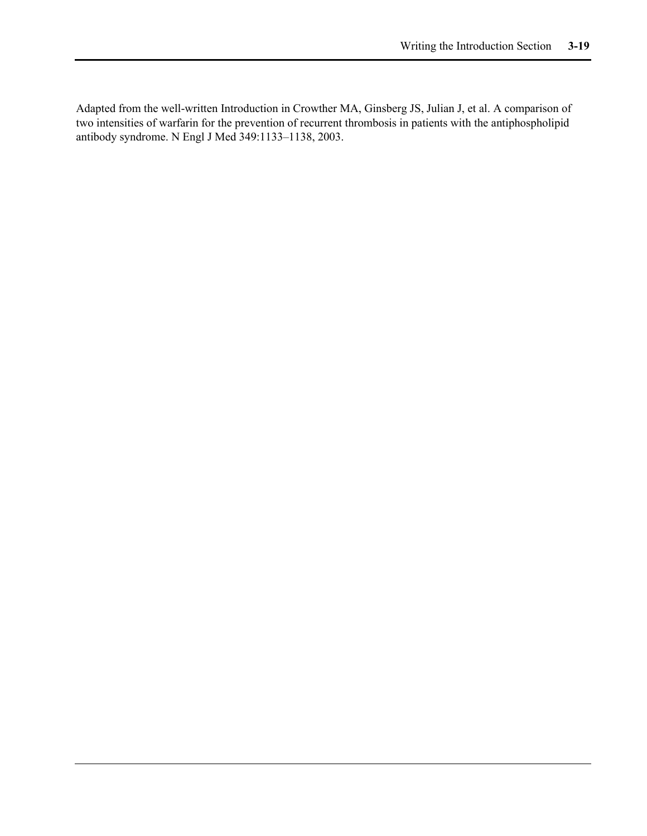Adapted from the well-written Introduction in Crowther MA, Ginsberg JS, Julian J, et al. A comparison of two intensities of warfarin for the prevention of recurrent thrombosis in patients with the antiphospholipid antibody syndrome. N Engl J Med 349:1133–1138, 2003.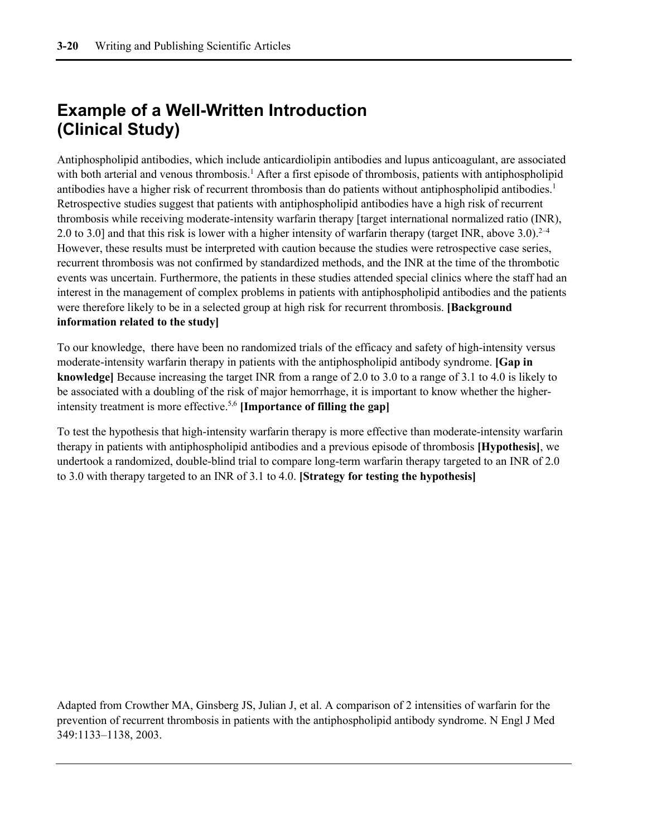## **Example of a Well-Written Introduction (Clinical Study)**

Antiphospholipid antibodies, which include anticardiolipin antibodies and lupus anticoagulant, are associated with both arterial and venous thrombosis.<sup>1</sup> After a first episode of thrombosis, patients with antiphospholipid antibodies have a higher risk of recurrent thrombosis than do patients without antiphospholipid antibodies.<sup>1</sup> Retrospective studies suggest that patients with antiphospholipid antibodies have a high risk of recurrent thrombosis while receiving moderate-intensity warfarin therapy [target international normalized ratio (INR), 2.0 to 3.0] and that this risk is lower with a higher intensity of warfarin therapy (target INR, above 3.0).<sup>2–4</sup> However, these results must be interpreted with caution because the studies were retrospective case series, recurrent thrombosis was not confirmed by standardized methods, and the INR at the time of the thrombotic events was uncertain. Furthermore, the patients in these studies attended special clinics where the staff had an interest in the management of complex problems in patients with antiphospholipid antibodies and the patients were therefore likely to be in a selected group at high risk for recurrent thrombosis. **[Background information related to the study]**

To our knowledge, there have been no randomized trials of the efficacy and safety of high-intensity versus moderate-intensity warfarin therapy in patients with the antiphospholipid antibody syndrome. **[Gap in knowledge]** Because increasing the target INR from a range of 2.0 to 3.0 to a range of 3.1 to 4.0 is likely to be associated with a doubling of the risk of major hemorrhage, it is important to know whether the higherintensity treatment is more effective.5,6 **[Importance of filling the gap]**

To test the hypothesis that high-intensity warfarin therapy is more effective than moderate-intensity warfarin therapy in patients with antiphospholipid antibodies and a previous episode of thrombosis **[Hypothesis]**, we undertook a randomized, double-blind trial to compare long-term warfarin therapy targeted to an INR of 2.0 to 3.0 with therapy targeted to an INR of 3.1 to 4.0. **[Strategy for testing the hypothesis]**

Adapted from Crowther MA, Ginsberg JS, Julian J, et al. A comparison of 2 intensities of warfarin for the prevention of recurrent thrombosis in patients with the antiphospholipid antibody syndrome. N Engl J Med 349:1133–1138, 2003.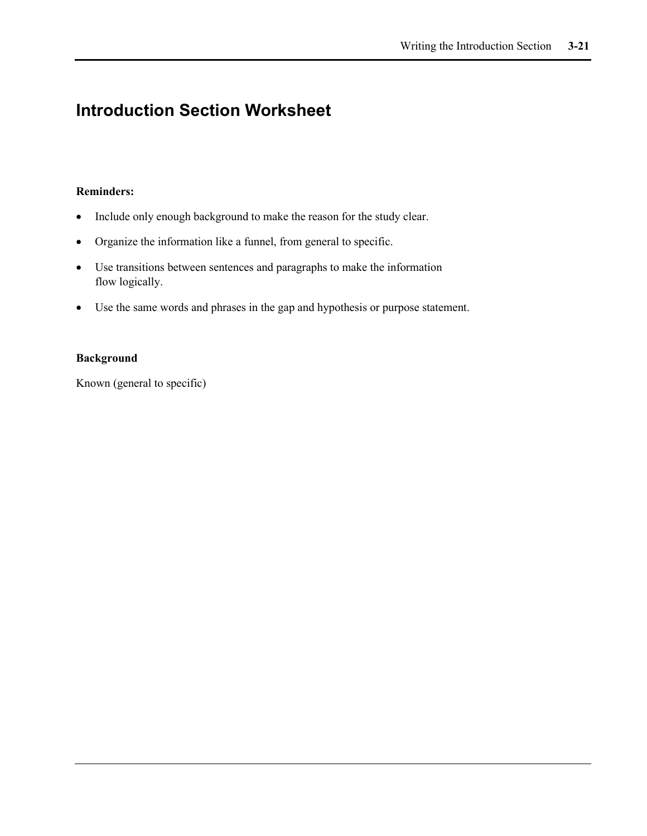## **Introduction Section Worksheet**

#### **Reminders:**

- Include only enough background to make the reason for the study clear.
- Organize the information like a funnel, from general to specific.
- Use transitions between sentences and paragraphs to make the information flow logically.
- Use the same words and phrases in the gap and hypothesis or purpose statement.

#### **Background**

Known (general to specific)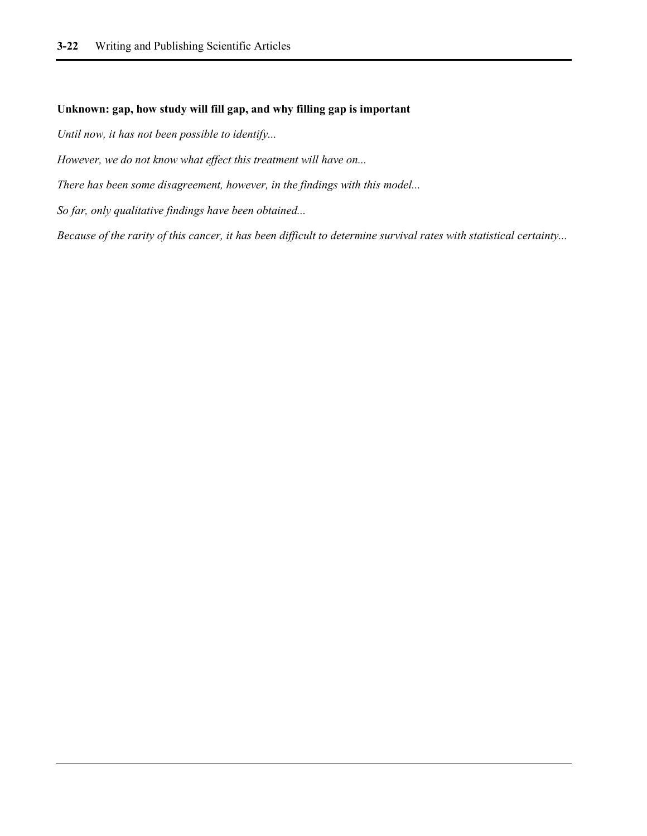#### **Unknown: gap, how study will fill gap, and why filling gap is important**

*Until now, it has not been possible to identify...*

*However, we do not know what effect this treatment will have on...*

*There has been some disagreement, however, in the findings with this model...*

*So far, only qualitative findings have been obtained...*

*Because of the rarity of this cancer, it has been difficult to determine survival rates with statistical certainty...*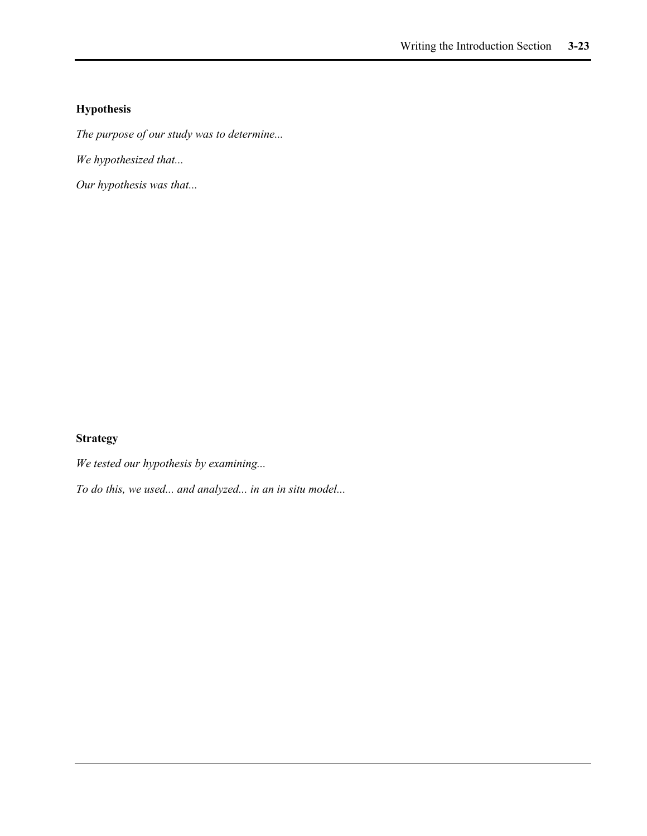### **Hypothesis**

*The purpose of our study was to determine...*

*We hypothesized that...*

*Our hypothesis was that...*

### **Strategy**

*We tested our hypothesis by examining...*

*To do this, we used... and analyzed... in an in situ model...*